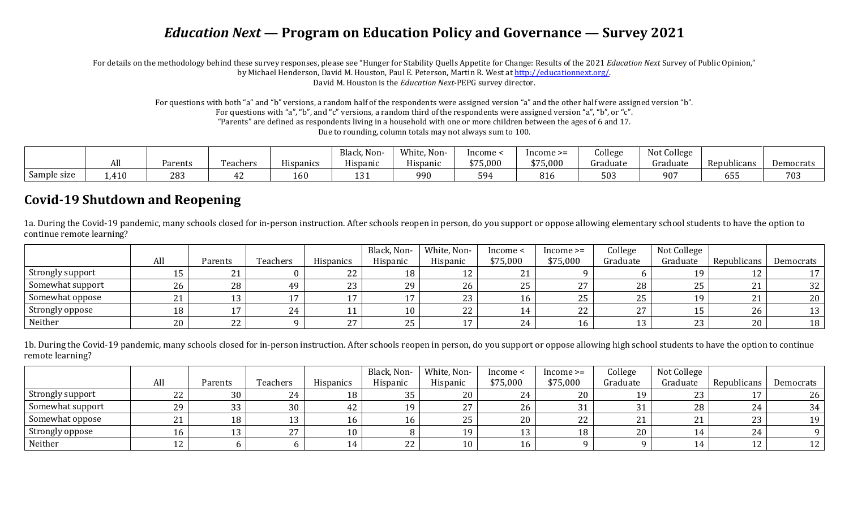# *Education Next* **— Program on Education Policy and Governance — Survey 2021**

For details on the methodology behind these survey responses, please see "Hunger for Stability Quells Appetite for Change: Results of the 2021 *Education Next* Survey of Public Opinion," by Michael Henderson, David M. Houston, Paul E. Peterson, Martin R. West at [http://educationnext.org/.](http://educationnext.org/)  David M. Houston is the *Education Next*-PEPG survey director.

> For questions with both "a" and "b" versions, a random half of the respondents were assigned version "a" and the other half were assigned version "b". For questions with "a", "b", and "c" versions, a random third of the respondents were assigned version "a", "b", or "c". "Parents" are defined as respondents living in a household with one or more children between the ages of 6 and 17.

> > Due to rounding, column totals may not always sum to 100.

|             |      |         |          |           | Black<br>Non-        | White,<br>Non- | Income    | $Income \geq=$ | ollege.  | Not College |                    |           |
|-------------|------|---------|----------|-----------|----------------------|----------------|-----------|----------------|----------|-------------|--------------------|-----------|
|             | וורז | Parents | Teachers | Hispanics | Hispanic             | Hispanic       | \$75,000  | 375,000        | Graduate | Graduate    | Repub<br>ilicans   | Democrats |
| Sample size | ,410 | 283     |          | 160       | $1^{\circ}$<br>1 J J | 990            | 594<br>ັບ | O 1<br>810     | 503      | 907         | $\sim$ $ -$<br>ხჂჂ | 703       |

### **Covid-19 Shutdown and Reopening**

1a. During the Covid-19 pandemic, many schools closed for in-person instruction. After schools reopen in person, do you support or oppose allowing elementary school students to have the option to continue remote learning?

|                  |          |                |                 |                  | Black, Non- | White, Non- | income <                 | $Income \geq=$     | College  | Not College |             |           |
|------------------|----------|----------------|-----------------|------------------|-------------|-------------|--------------------------|--------------------|----------|-------------|-------------|-----------|
|                  | All      | Parents        | <b>Teachers</b> | <b>Hispanics</b> | Hispanic    | Hispanic    | \$75,000                 | \$75,000           | Graduate | Graduate    | Republicans | Democrats |
| Strongly support | ⊥ປ       | $\mathbf{A}$   |                 | 22               | 18          |             | $\mathbf{A}$<br><u>_</u> |                    |          | 1 Q         | ᅩ           |           |
| Somewhat support | 26       | 28             | 49              | 23               | 29          | 26          | つに<br>ن ے                | $\mathbf{a}$<br>47 | 28       | 25          | <u>_ i</u>  | 32        |
| Somewhat oppose  | 21<br>41 |                |                 |                  |             |             |                          | 25                 | 25       | 1 Q         |             | 20        |
| Strongly oppose  | 18       |                | 24              | <b>**</b>        | 10          | າາ<br>∠∠    |                          | 22                 | 77       |             | 26          | 13        |
| Neither          | 20       | $\Omega$<br>22 |                 | ר ר<br>$\sim$    | 25          |             | 24                       | 16                 | 13       | 23          | 20          | 18        |

1b. During the Covid-19 pandemic, many schools closed for in-person instruction. After schools reopen in person, do you support or oppose allowing high school students to have the option to continue remote learning?

|                  |     |         |          |                  | Black, Non- | White, Non- | Income < | $Income \geq=$ | College  | Not College |             |           |
|------------------|-----|---------|----------|------------------|-------------|-------------|----------|----------------|----------|-------------|-------------|-----------|
|                  | All | Parents | Teachers | <b>Hispanics</b> | Hispanic    | Hispanic    | \$75,000 | \$75,000       | Graduate | Graduate    | Republicans | Democrats |
| Strongly support | 22  | 30      | 24       | 18               | 35          |             | 24       | 20             | 1 Q      | 23          |             | 26        |
| Somewhat support | 29  | 33      | 30       | 42               | 1 Q         |             | 26       | 21<br>ັບ       |          | 28          | ∼           | 34        |
| Somewhat oppose  | 21  | 18      |          |                  |             | 25          | 20       | 22             |          |             | nn<br>້     | 19        |
| Strongly oppose  | 16  |         | 27       | 10               |             |             |          | 18             | 20       |             | 44          |           |
| Neither          | 12  |         |          |                  | 22          |             | TΩ       |                |          |             |             |           |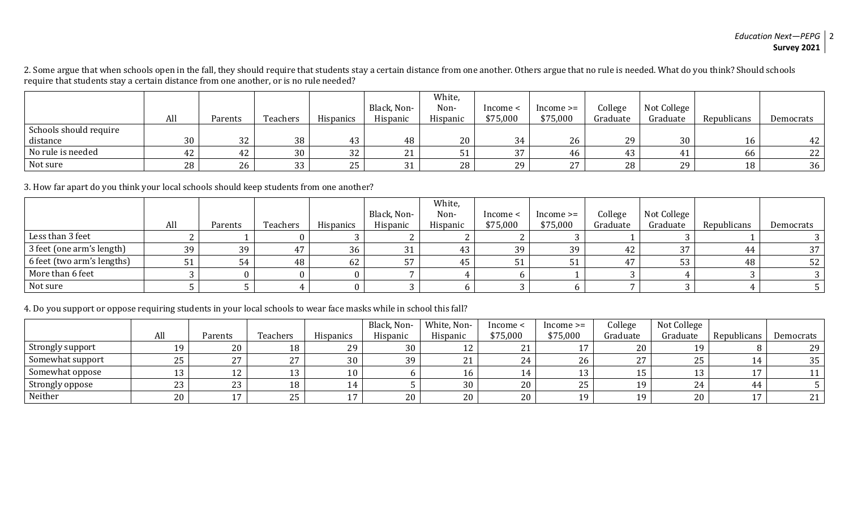2. Some argue that when schools open in the fall, they should require that students stay a certain distance from one another. Others argue that no rule is needed. What do you think? Should schools require that students stay a certain distance from one another, or is no rule needed?

|                        |     |         |                  |           |             | White,   |          |                     |          |             |             |                 |
|------------------------|-----|---------|------------------|-----------|-------------|----------|----------|---------------------|----------|-------------|-------------|-----------------|
|                        |     |         |                  |           | Black, Non- | Non-     | Income < | $Income \geq$       | College  | Not College |             |                 |
|                        | All | Parents | Teachers         | Hispanics | Hispanic    | Hispanic | \$75,000 | \$75,000            | Graduate | Graduate    | Republicans | Democrats       |
| Schools should require |     |         |                  |           |             |          |          |                     |          |             |             |                 |
| distance               | 30  | 32      | 38               | 43        | 48          | 20       | 34       | 26                  | 29       | 30          | 16          | 42              |
| No rule is needed      | 44  | 42      | 30               | າາ<br>ے د |             |          | 37       | -46                 | 43       | 41          | 66          | 22              |
| Not sure               | 28  | 26      | ົາາ<br><u>JJ</u> | つに<br>້   |             | 28       | 29       | $\mathbf{a}$<br>ـ ـ | 28       | 29          | 18          | 36 <sup>1</sup> |

3. How far apart do you think your local schools should keep students from one another?

|                            |     |         |          |                  |             | White,   |          |               |          |             |             |           |
|----------------------------|-----|---------|----------|------------------|-------------|----------|----------|---------------|----------|-------------|-------------|-----------|
|                            |     |         |          |                  | Black, Non- | Non-     | Income < | $Income \geq$ | College  | Not College |             |           |
|                            | All | Parents | Teachers | <b>Hispanics</b> | Hispanic    | Hispanic | \$75,000 | \$75,000      | Graduate | Graduate    | Republicans | Democrats |
| Less than 3 feet           |     |         |          |                  |             |          |          |               |          |             |             |           |
| 3 feet (one arm's length)  | 39  | 39      |          | 36               | 31          | 43       | 39       | 39            | 42       | 37          | 44          | 37        |
| 6 feet (two arm's lengths) |     | 54      | 48       | 62               |             | 45       | ີປ⊥      |               | A.7      | 52<br>Jυ    | 48          | 52        |
| More than 6 feet           |     |         |          |                  |             |          |          |               |          |             |             |           |
| Not sure                   |     |         |          |                  |             |          |          |               |          |             |             |           |

#### 4. Do you support or oppose requiring students in your local schools to wear face masks while in school this fall?

|                  |     |         |                       |                  | Black, Non- | White, Non-  | Income < | $Income \geq$    | College  | Not College |             |           |
|------------------|-----|---------|-----------------------|------------------|-------------|--------------|----------|------------------|----------|-------------|-------------|-----------|
|                  | All | Parents | Teachers              | <b>Hispanics</b> | Hispanic    | Hispanic     | \$75,000 | \$75,000         | Graduate | Graduate    | Republicans | Democrats |
| Strongly support | 19  | 20      | 18                    | 29               | 30          | ᅩᄼ           | 21       |                  | 20       | 1 Q         |             | 29        |
| Somewhat support | 25  | 27      | $\mathcal{L}$<br>ر ہے | 30               | 39          | $\mathbf{D}$ | 24       | 26               | つワ       | 25          |             | 35        |
| Somewhat oppose  | 12  | 14 L    |                       | 10               |             | 16           |          | 13               |          |             |             |           |
| Strongly oppose  | 23  | 23      | 18                    | 14               |             | 30           | 20       | 25               | 19       | 24          |             |           |
| Neither          | 20  |         | <b>DE</b><br>ں ہے     | $\overline{ }$   | 20          | 20           | 20       | 19<br><u>д</u> . | 19       | 20          |             | 21        |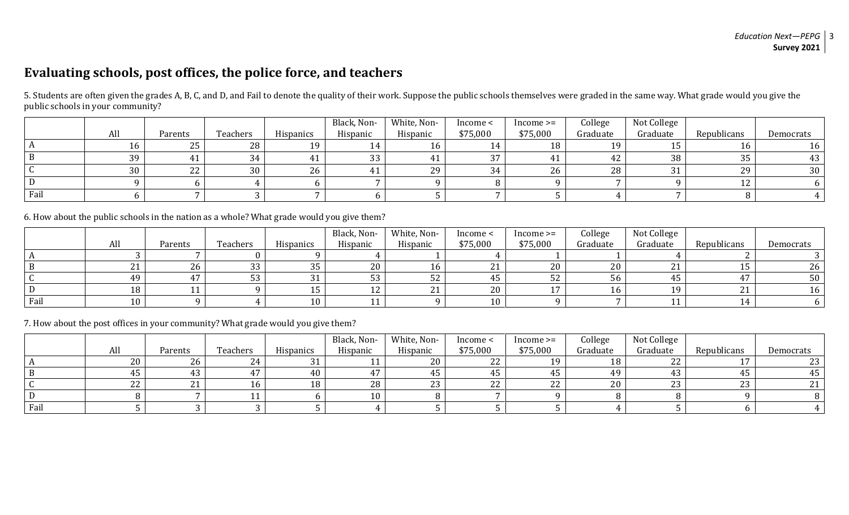## **Evaluating schools, post offices, the police force, and teachers**

|      |     |         |          |                  | Black, Non-     | White, Non- | Income <               | $Income \geq=$ | College  | Not College |             |           |
|------|-----|---------|----------|------------------|-----------------|-------------|------------------------|----------------|----------|-------------|-------------|-----------|
|      | All | Parents | Teachers | <b>Hispanics</b> | Hispanic        | Hispanic    | \$75,000               | \$75,000       | Graduate | Graduate    | Republicans | Democrats |
|      | 16  | 25      | 28       | 10               |                 | 16          | $\boldsymbol{\Lambda}$ | 18             | 1 Q      |             | 16          | 16        |
|      | 39  |         |          |                  | $\Omega$<br>ົບບ | 41          | 37                     |                | 42       | 38          | つロ<br>აა    |           |
|      | 30  | 22      | 30       | 26               |                 | 29          | 34                     | 26             | 28       |             | 29          | 30        |
|      |     |         |          |                  |                 |             |                        |                |          |             |             |           |
| Fail |     |         |          |                  |                 |             |                        |                |          |             |             |           |

5. Students are often given the grades A, B, C, and D, and Fail to denote the quality of their work. Suppose the public schools themselves were graded in the same way. What grade would you give the public schools in your community?

6. How about the public schools in the nation as a whole? What grade would you give them?

|      |     |         |          |           | Black, Non-    | White, Non- | Income < | $Income \geq$ | College  | Not College       |             |           |
|------|-----|---------|----------|-----------|----------------|-------------|----------|---------------|----------|-------------------|-------------|-----------|
|      | All | Parents | Teachers | Hispanics | Hispanic       | Hispanic    | \$75,000 | \$75,000      | Graduate | Graduate          | Republicans | Democrats |
|      |     |         |          |           |                |             |          |               |          |                   |             |           |
|      | 21  | 26      | ົາ<br>ບບ | 35        | 20             | 16          |          | 20            | 20       | n,<br><u> 4 J</u> | ⊥∪          | 26        |
|      | 49  |         | ບບ       | 21<br>JI  | ບບ             | 52          | 45       | ے ت           | 56       |                   |             | 50        |
|      | 18  |         |          |           | ᅩᄼ             | 21          | 20       |               | 16       | 1 Q               |             |           |
| Fail | 10  |         |          | 10        | $\overline{A}$ |             | 10       |               |          |                   | 14          |           |

7. How about the post offices in your community? What grade would you give them?

|      |     |         |          |           | Black, Non- | White, Non- | Income <   | $Income \geq=$ | College  | Not College      |             |           |
|------|-----|---------|----------|-----------|-------------|-------------|------------|----------------|----------|------------------|-------------|-----------|
|      | All | Parents | Teachers | Hispanics | Hispanic    | Hispanic    | \$75,000   | \$75,000       | Graduate | Graduate         | Republicans | Democrats |
|      | 20  | 26      |          | 21<br>ີບ⊥ |             | 20          | ົາ<br>22 S | 1 Q            | 18       | nn<br><u>_ _</u> |             | ້         |
|      | 45  | 43      |          | 40        |             | 45          |            |                | 4.Q      |                  | τJ          |           |
|      | 22  | າ 1     |          | 18        | 28          | 23          | າາ<br>ZZ   | 22             | 20       | $\Omega$         | ົາາ<br>ں ے  |           |
|      |     |         |          |           | 10          |             |            |                |          |                  |             |           |
| Fail |     |         |          |           |             |             |            |                |          |                  |             |           |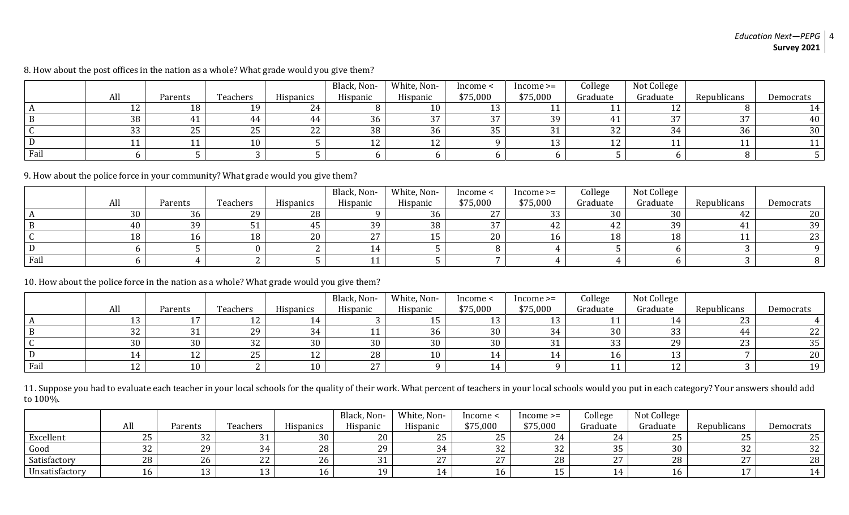|      |     |            |          |                  | Black, Non-  | White, Non- | Income < | $Income \geq=$ | College  | Not College |                 |           |
|------|-----|------------|----------|------------------|--------------|-------------|----------|----------------|----------|-------------|-----------------|-----------|
|      | All | Parents    | Teachers | <b>Hispanics</b> | Hispanic     | Hispanic    | \$75,000 | \$75,000       | Graduate | Graduate    | Republicans     | Democrats |
|      | 12  | 18         |          | 24               |              | 10          |          |                |          |             |                 |           |
|      | 38  |            |          |                  | 36           | 37          | 37       | 39             |          | $\sim$      | $\Omega$<br>J / | 40        |
|      | 33  | つに<br>ں ہے | ں ے      | 22               | 38           | 36          | 35       |                | 32       |             | 36              | 30        |
|      |     |            |          |                  | $\sim$<br>ᅩᄼ | 12<br>ᅩ     |          |                | 1 O<br>ᅩ |             |                 |           |
| Fail |     |            |          |                  |              |             |          |                |          |             |                 |           |

8. How about the post offices in the nation as a whole? What grade would you give them?

9. How about the police force in your community? What grade would you give them?

|      |     |         |          |                  | Black, Non-   | White, Non- | Income <      | $Income \geq$ | College  | Not College |             |             |
|------|-----|---------|----------|------------------|---------------|-------------|---------------|---------------|----------|-------------|-------------|-------------|
|      | All | Parents | Teachers | <b>Hispanics</b> | Hispanic      | Hispanic    | \$75,000      | \$75,000      | Graduate | Graduate    | Republicans | Democrats   |
|      | 30  | 36      | 29       | 28               |               | 36          | $\mathcal{L}$ | າາ<br>ບບ      | 30       | 30          | 44          | 20          |
|      | 40  | 39      |          |                  | 39            | 38          | 27            | 42            | T4.      | 39          |             | 39          |
|      | 18  | Lb      | 18       | 20               | $\sim$ $\sim$ |             | 20            | 16            | 18       | 1 O         |             | ົດຕ<br>ں ہے |
|      |     |         |          |                  |               |             |               |               |          |             |             |             |
| Fail |     |         |          |                  |               |             |               |               |          |             |             |             |

10. How about the police force in the nation as a whole? What grade would you give them?

|      |         |         |           |                              | Black, Non-   | White, Non- | Income < | $Income \geq$ | College  | Not College  |             |                 |
|------|---------|---------|-----------|------------------------------|---------------|-------------|----------|---------------|----------|--------------|-------------|-----------------|
|      | All     | Parents | Teachers  | <b>Hispanics</b>             | Hispanic      | Hispanic    | \$75,000 | \$75,000      | Graduate | Graduate     | Republicans | Democrats       |
|      | 13      |         |           |                              |               | ⊥∪          |          |               |          |              | ົດດ<br>້    |                 |
|      | 32      |         | 29        |                              |               | 36          | 30       |               | 30       | ົ<br>ັບປ     |             | ົດຕ<br>44       |
|      | 30      |         | ے د       | 30                           | 30            | 30          | 30       |               | ບບ       | $20^{\circ}$ | ົດດ<br>ں ہے | 35              |
|      | 14      |         | つに<br>ر ے | $1^{\circ}$<br>┸ <del></del> | 28            | 10          |          |               |          |              |             | 20              |
| Fail | 12<br>ᅩ |         |           | 10                           | $\sim$ $\sim$ |             |          |               |          |              |             | 19 <sub>1</sub> |

11. Suppose you had to evaluate each teacher in your local schools for the quality of their work. What percent of teachers in your local schools would you put in each category? Your answers should add to 100%.

|                |           |         |          |                  | Black, Non- | White, Non- | lncome <             | $Income \geq$ | College  | Not College |                      |           |
|----------------|-----------|---------|----------|------------------|-------------|-------------|----------------------|---------------|----------|-------------|----------------------|-----------|
|                | All       | Parents | Teachers | <b>Hispanics</b> | Hispanic    | Hispanic    | \$75,000             | \$75,000      | Graduate | Graduate    | Republicans          | Democrats |
| Excellent      | n F<br>ີບ | ے ت     |          | 30               | 20          |             | ົ<br>ᄼᄂ<br>ں ے       |               |          | n r<br>ں ہے | $\sim$ $\sim$<br>ں ے | つに<br>ں ے |
| Good           | ົ<br>ے ت  |         | JΤ       | 28               | 29          |             | 32                   | ົາ<br>ے د     | つロ<br>ັບ | 30          | າາ<br>ے ت            | 32        |
| Satisfactory   | 28        |         | າາ<br>LL | 26               |             |             | $\sim$ $\sim$<br>ـ ـ | 40            | $\sim$   | 28          | $\sim$<br>∼          | 28        |
| Unsatisfactory |           |         |          |                  |             |             |                      |               |          |             | . .                  |           |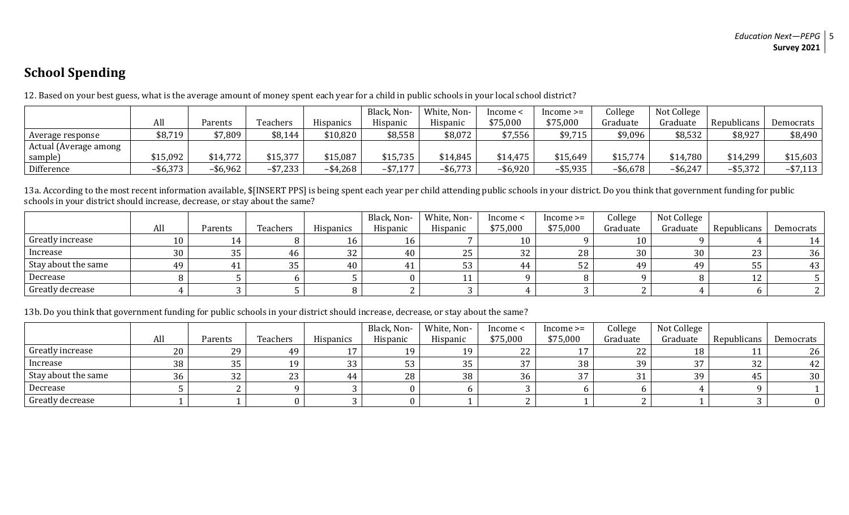# **School Spending**

|                       |             |             |                        |                        | Black, Non- | White, Non- | Income <    | $Income \geq$ | College     | Not College |             |             |
|-----------------------|-------------|-------------|------------------------|------------------------|-------------|-------------|-------------|---------------|-------------|-------------|-------------|-------------|
|                       | All         | Parents     | Teachers               | Hispanics              | Hispanic    | Hispanic    | \$75,000    | \$75,000      | Graduate    | Graduate    | Republicans | Democrats   |
| Average response      | \$8,719     | \$7,809     | \$8,144                | \$10,820               | \$8,558     | \$8,072     | \$7,556     | \$9,715       | \$9,096     | \$8,532     | \$8,927     | \$8,490     |
| Actual (Average among |             |             |                        |                        |             |             |             |               |             |             |             |             |
| sample)               | \$15,092    | \$14,772    | \$15,377               | \$15,087               | \$15,735    | \$14,845    | \$14,475    | \$15,649      | \$15,774    | \$14,780    | \$14,299    | \$15,603    |
| Difference            | $-$ \$6,373 | $-$ \$6,962 | $-$ \$7,233 $^{\circ}$ | $-$ \$4,268 $^{\circ}$ | $-$ \$7,177 | $-$ \$6,773 | $-$ \$6,920 | $-$ \$5,935   | $-$ \$6,678 | $-$ \$6,247 | $-$ \$5,372 | $-$ \$7,113 |

12. Based on your best guess, what is the average amount of money spent each year for a child in public schools in your local school district?

13a. According to the most recent information available, \$[INSERT PPS] is being spent each year per child attending public schools in your district. Do you think that government funding for public schools in your district should increase, decrease, or stay about the same?

|                     |     |         |          |                  | Black, Non- | White, Non- | Income <       | $Income \geq=$ | College  | Not College |             |           |
|---------------------|-----|---------|----------|------------------|-------------|-------------|----------------|----------------|----------|-------------|-------------|-----------|
|                     | All | Parents | Teachers | <b>Hispanics</b> | Hispanic    | Hispanic    | \$75,000       | \$75,000       | Graduate | Graduate    | Republicans | Democrats |
| Greatly increase    |     |         |          |                  | 16          |             | 10             |                | 10       |             |             |           |
| Increase            | 30  | 35      | 46       | 32               | 40          | ں ے         | $\Omega$<br>34 | 28             | 30       | 30          | 23          | 36        |
| Stay about the same | 49  |         | n r      | 40               |             |             |                | 52             | 49       | 4.9         | 55          | 43        |
| Decrease            |     |         |          |                  |             |             |                |                |          |             | $\sim$<br>ᅩ |           |
| Greatly decrease    |     |         |          |                  |             |             |                |                |          |             |             |           |

13b. Do you think that government funding for public schools in your district should increase, decrease, or stay about the same?

|                     |     |          |          |                  | Black, Non- | White, Non- | Income <             | $1$ ncome $>=$ | College  | Not College   |             |                 |
|---------------------|-----|----------|----------|------------------|-------------|-------------|----------------------|----------------|----------|---------------|-------------|-----------------|
|                     | All | Parents  | Teachers | <b>Hispanics</b> | Hispanic    | Hispanic    | \$75,000             | \$75,000       | Graduate | Graduate      | Republicans | Democrats       |
| Greatly increase    | 20  | 29       | 49       |                  |             | 1 Q         | ົດຕ<br>L L           | 17             | 22 C     |               |             | 26 <sup>1</sup> |
| Increase            | 38  | 35       | 1 Q      | 33               |             | 35          | $\sim$ $\sim$<br>ັບເ | 38             | 39       | $\sim$ $\sim$ | 32          | 42              |
| Stay about the same | 36  | nn<br>34 | 23       | 44               | 28          | 38          | 36                   | 37             |          | 30            | 45          | 30 <sup>1</sup> |
| Decrease            |     |          |          |                  |             |             |                      |                |          |               |             |                 |
| Greatly decrease    |     |          |          |                  |             |             |                      |                |          |               |             |                 |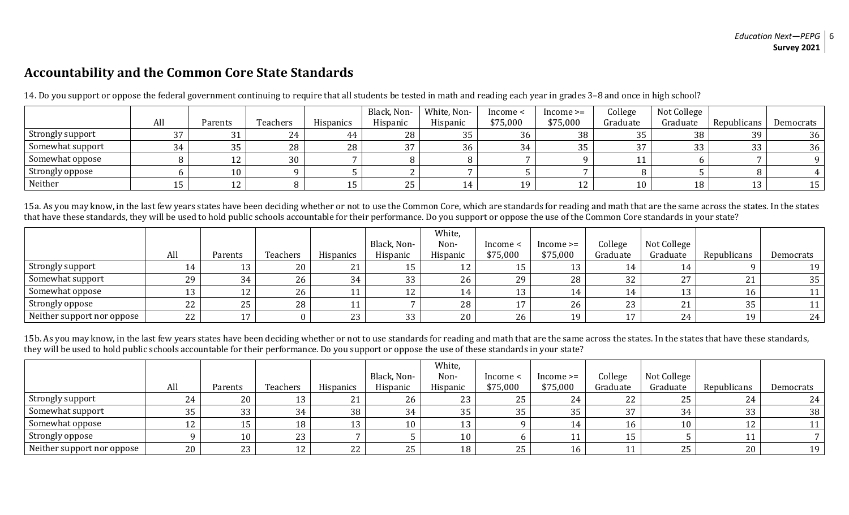### **Accountability and the Common Core State Standards**

|                  |     |                     |          |                  | Black, Non- | White, Non- | Income < | $Income \geq$ | College  | Not College |             |           |
|------------------|-----|---------------------|----------|------------------|-------------|-------------|----------|---------------|----------|-------------|-------------|-----------|
|                  | All | Parents             | Teachers | <b>Hispanics</b> | Hispanic    | Hispanic    | \$75,000 | \$75,000      | Graduate | Graduate    | Republicans | Democrats |
| Strongly support | 37  |                     | 24       | 44               | 28          | 35          | 36       | 38            | 35       | 38          | 39          | 36        |
| Somewhat support | 34  | $\sim$ $\sim$<br>ບບ | 28       | 28               | 37          | 36          | 34       | 35            | 37       | 33          | 33          | 36        |
| Somewhat oppose  |     |                     | 30       |                  |             |             |          |               |          |             |             |           |
| Strongly oppose  |     | 10                  |          |                  |             |             |          |               |          |             |             |           |
| Neither          |     |                     |          |                  | 25          |             | 10       | 12            | 10       | 18          | ᅩ           |           |

14. Do you support or oppose the federal government continuing to require that all students be tested in math and reading each year in grades 3–8 and once in high school?

15a. As you may know, in the last few years states have been deciding whether or not to use the Common Core, which are standards for reading and math that are the same across the states. In the states that have these standards, they will be used to hold public schools accountable for their performance. Do you support or oppose the use of the Common Core standards in your state?

|                            |          |                  |          |           |             | White,   |                |               |                |                      |             |           |
|----------------------------|----------|------------------|----------|-----------|-------------|----------|----------------|---------------|----------------|----------------------|-------------|-----------|
|                            |          |                  |          |           | Black, Non- | Non-     | Income <       | $Income \geq$ | College        | Not College          |             |           |
|                            | All      | Parents          | Teachers | Hispanics | Hispanic    | Hispanic | \$75,000       | \$75,000      | Graduate       | Graduate             | Republicans | Democrats |
| Strongly support           |          | $1^{\circ}$<br>ᆚ | 20       | 21        |             | 1 า      | 15             |               |                |                      |             | 19        |
| Somewhat support           | 29       | 34               | 26       | 34        | 33          | 26       | 29             | 28            | 32             | $\mathcal{L}$<br>ر ے | $\sim$ 1    | 35        |
| Somewhat oppose            |          | 1.0<br>ᅩ         | 26       |           | 1 2<br>ᅭ    | 14       | 13             |               | 14             | ⊥ບ                   | 16          |           |
| Strongly oppose            | nn<br>ZZ | 25               | 28       |           |             | 28       | 17<br><b>*</b> | 26            | 23             | n.1                  | 35          |           |
| Neither support nor oppose | 22       | $\overline{ }$   |          | 23        | 33          | 20       | 26             | 19            | $\overline{ }$ | 24                   | 19          | 24        |

15b. As you may know, in the last few years states have been deciding whether or not to use standards for reading and math that are the same across the states. In the states that have these standards, they will be used to hold public schools accountable for their performance. Do you support or oppose the use of these standards in your state?

|                            |     |           |                |                  | Black, Non- | White,<br>Non- | Income < | $Income \geq$ | College  | Not College |             |           |
|----------------------------|-----|-----------|----------------|------------------|-------------|----------------|----------|---------------|----------|-------------|-------------|-----------|
|                            | All | Parents   | Teachers       | <b>Hispanics</b> | Hispanic    | Hispanic       | \$75,000 | \$75,000      | Graduate | Graduate    | Republicans | Democrats |
| Strongly support           | 24  | 20        |                | $\mathbf{A}$     | 26          | 23             | 25       | 24            | 22       | 25          | 24          | 24        |
| Somewhat support           | 35  | 33        | 34             | 38               | 34          | 35             | 35       | 35            | 37       | 34          | 33          | 38        |
| Somewhat oppose            |     | ᅩ         | 18             |                  | 10          |                |          |               |          | 10          |             |           |
| Strongly oppose            |     | 10        | 23             |                  |             | 10             |          |               |          |             |             |           |
| Neither support nor oppose | 20  | つつ<br>ں ے | $\overline{A}$ | 22               | 25          | 18             | 25       | 16            |          | 25          | 20          | 19        |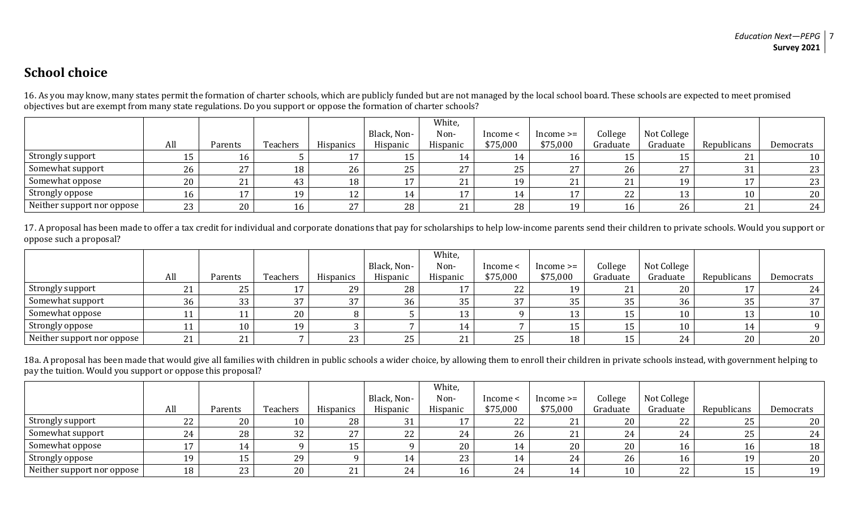## **School choice**

16. As you may know, many states permit the formation of charter schools, which are publicly funded but are not managed by the local school board. These schools are expected to meet promised objectives but are exempt from many state regulations. Do you support or oppose the formation of charter schools?

|                              |              |                |          |                  |             | White,   |          |               |                   |             |             |                 |
|------------------------------|--------------|----------------|----------|------------------|-------------|----------|----------|---------------|-------------------|-------------|-------------|-----------------|
|                              |              |                |          |                  | Black, Non- | Non-     | Income < | $Income \geq$ | College           | Not College |             |                 |
|                              | All          | Parents        | Teachers | <b>Hispanics</b> | Hispanic    | Hispanic | \$75,000 | \$75,000      | Graduate          | Graduate    | Republicans | Democrats       |
| Strongly support             |              | 16             |          |                  |             |          | 14       | 16            | ⊥∪                | ⊥∪          | 21          | 10              |
| Somewhat support             | 26           | 27             | 18       | 26               | 25          | 27       | 25       | ר ר           | 26                | つワ<br>27 L  | 31          | 23              |
| Somewhat oppose              | $20^{\circ}$ | า 1<br>41      |          | 18               |             | 21       | 19       | $\mathbf{D}$  | $\mathbf{a}$<br>▵ | 19          |             | 23 <sup>1</sup> |
| Strongly oppose              |              | $\overline{ }$ | 19       |                  | 14          | 17       | 14       |               | 22                |             | 10          | 20              |
| Neither support nor oppose I | 23           | 20             | 16       | $\mathbf{z}$     | 28          | 21       | 28       | 10            | 16                | 26          | 21          | 24              |

17. A proposal has been made to offer a tax credit for individual and corporate donations that pay for scholarships to help low-income parents send their children to private schools. Would you support or oppose such a proposal?

|                              |                    |         |          |                     |             | White,   |          |               |                |             |             |           |
|------------------------------|--------------------|---------|----------|---------------------|-------------|----------|----------|---------------|----------------|-------------|-------------|-----------|
|                              |                    |         |          |                     | Black, Non- | Non-     | Income < | $Income \geq$ | College        | Not College |             |           |
|                              | All                | Parents | Teachers | <b>Hispanics</b>    | Hispanic    | Hispanic | \$75,000 | \$75,000      | Graduate       | Graduate    | Republicans | Democrats |
| Strongly support             | $\mathbf{A}$<br>∠⊥ | 25      |          | 29                  | 28          | . .      | 22       | 19            | 21<br>$\sim$ 1 | 20          |             | 24        |
| Somewhat support             | 36                 | 33      | 37       | $\mathcal{L}$<br>37 | 36          | 35       | 37       | 35            | 35             | 36          | 35          | 37        |
| Somewhat oppose              |                    |         | 20       |                     |             | 12       |          | 10            | ᅩ              | 10          | ⊥ປ          | 10        |
| Strongly oppose              |                    | 10      | 19       |                     |             |          |          |               | ᆚ              | 10          | l 4         |           |
| Neither support nor oppose I | 21                 | 21      |          | ົດດ<br>ں ہے         | 25          | 21       | 25       | 18            | ᆚ              | 24          | 20          | 20        |

18a. A proposal has been made that would give all families with children in public schools a wider choice, by allowing them to enroll their children in private schools instead, with government helping to pay the tuition. Would you support or oppose this proposal?

|                            |     |         |                 |                  |             | White,   |          |               |          |             |             |           |
|----------------------------|-----|---------|-----------------|------------------|-------------|----------|----------|---------------|----------|-------------|-------------|-----------|
|                            |     |         |                 |                  | Black, Non- | Non-     | Income < | $Income \geq$ | College  | Not College |             |           |
|                            | All | Parents | Teachers        | <b>Hispanics</b> | Hispanic    | Hispanic | \$75,000 | \$75,000      | Graduate | Graduate    | Republicans | Democrats |
| Strongly support           | 22  | 20      | 10 <sub>1</sub> | 28               | 31<br>JI    |          | 22       | 21            | 20       | 22          | 25          | 20        |
| Somewhat support           | 24  | 28      | 32              | 27<br>47         | 22          |          | 26       | 21            | 24       | 24          | 25          | 24        |
| Somewhat oppose            |     | 14      |                 | ⊥∪               |             | 20       | 14       | 20            | 20       | 16          | 16          | 18        |
| Strongly oppose            | 19  | 15      | 29              |                  |             | 23       | 14       | 24            | 26       | 16          | 19.         | 20        |
| Neither support nor oppose | 18  | 23      | 20              | 21<br><u>_</u>   | 24          | 16       | 24       | 14            | 10       | 22          | 15          | 19        |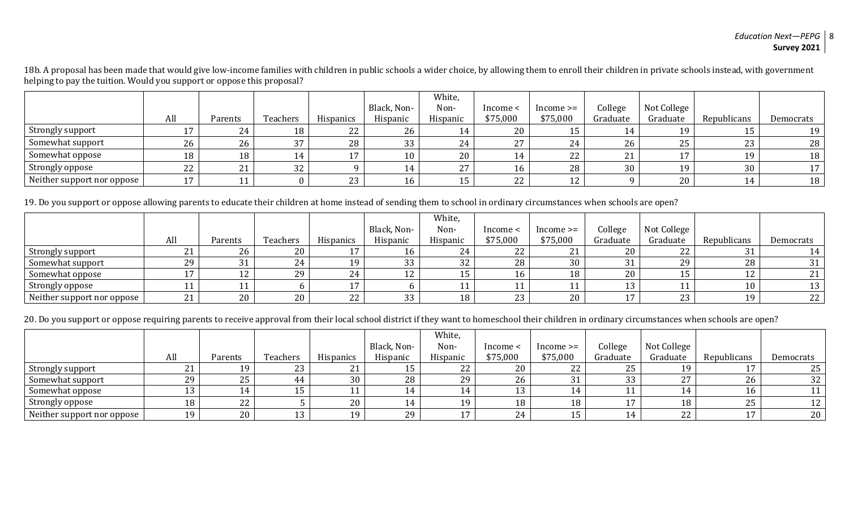18b. A proposal has been made that would give low-income families with children in public schools a wider choice, by allowing them to enroll their children in private schools instead, with government helping to pay the tuition. Would you support or oppose this proposal?

|                            |                |         |          |                  |             | White,       |          |               |          |             |             |           |
|----------------------------|----------------|---------|----------|------------------|-------------|--------------|----------|---------------|----------|-------------|-------------|-----------|
|                            |                |         |          |                  | Black, Non- | Non-         | Income < | $Income \geq$ | College  | Not College |             |           |
|                            | All            | Parents | Teachers | <b>Hispanics</b> | Hispanic    | Hispanic     | \$75,000 | \$75,000      | Graduate | Graduate    | Republicans | Democrats |
| Strongly support           |                | 24      | 18       | 22               | 26          |              | 20       |               | 14       | 19          |             | 19        |
| Somewhat support           | 26             | 26      | 37       | 28               | 33          | 24           | 27       | 24            | 26       | 25          | 23          | 28        |
| Somewhat oppose            | 18             | 18      | 14       |                  | 10          | 20           | 14       | 22            | 21       | 1 T         | 19          | 18        |
| Strongly oppose            | 22             | 21      | 32       |                  |             | $\mathbf{z}$ | 16       | 28            | 30       | 19          | 30          | 17        |
| Neither support nor oppose | $\overline{ }$ | 11      |          | ົດດ<br>ں ہے      | 16          | ⊥∪           | 22       | 12<br>ᅩᄼ      |          | 20          | 14          | 18        |

19. Do you support or oppose allowing parents to educate their children at home instead of sending them to school in ordinary circumstances when schools are open?

|                            |            |            |          |                  |             | White,   |          |               |                  |             |             |           |
|----------------------------|------------|------------|----------|------------------|-------------|----------|----------|---------------|------------------|-------------|-------------|-----------|
|                            |            |            |          |                  | Black, Non- | Non-     | Income < | $Income \geq$ | College          | Not College |             |           |
|                            | All        | Parents    | Teachers | <b>Hispanics</b> | Hispanic    | Hispanic | \$75,000 | \$75,000      | Graduate         | Graduate    | Republicans | Democrats |
| Strongly support           | <u>_ i</u> | 26         | 20       |                  | 16          | 24       | 22       | 21            | 20               | າາ<br>LL    | າາ          | l 4       |
| Somewhat support           | 29         | 31         | 24       | 1 Q              | 33          | 32       | 28       | 30            | າາ<br>ີປ⊥        | 29          | 28          | 31        |
| Somewhat oppose            |            | $\sqrt{2}$ | 29       | 24               | 12          |          | 16       | 18            | 20               |             | 14          | 21        |
| Strongly oppose            |            |            |          |                  |             |          |          |               | $1^{\circ}$<br>ᅩ | 11          | 10          | 13        |
| Neither support nor oppose | <u>∠ ⊥</u> | 20         | 20       | つつ<br>L L        | 33          | 18       | 23       | 20            | . .              | 23          | 19          | 22        |

20. Do you support or oppose requiring parents to receive approval from their local school district if they want to homeschool their children in ordinary circumstances when schools are open?

|                            |           |         |           |                  |             | White,   |          |               |                |             |             |           |
|----------------------------|-----------|---------|-----------|------------------|-------------|----------|----------|---------------|----------------|-------------|-------------|-----------|
|                            |           |         |           |                  | Black, Non- | Non-     | Income < | $Income \geq$ | College        | Not College |             |           |
|                            | All       | Parents | Teachers  | <b>Hispanics</b> | Hispanic    | Hispanic | \$75,000 | \$75,000      | Graduate       | Graduate    | Republicans | Democrats |
| Strongly support           | <u>41</u> | 19      | つつ<br>ں ے | 21<br>$\sim$ 1   | 15          | 22       | 20       | 22            | 25             | 1 Q         |             | 25        |
| Somewhat support           | 29        | 25      | 44        | 30               | 28          | 29       | 26       | $^{\circ}$    | 33             |             | 26          | 32        |
| Somewhat oppose            |           |         |           |                  |             |          | 13       |               |                |             | 16          |           |
| Strongly oppose            | 18        | 22      |           | 20               | $\sqrt{4}$  | 10       | 18       | 18            | $\overline{ }$ | 18          | 25          | 12        |
| Neither support nor oppose | 19        | 20      |           | 1 Q              | 29          | 15       | 24       | 15            | . .            | 22          | 17          | 20        |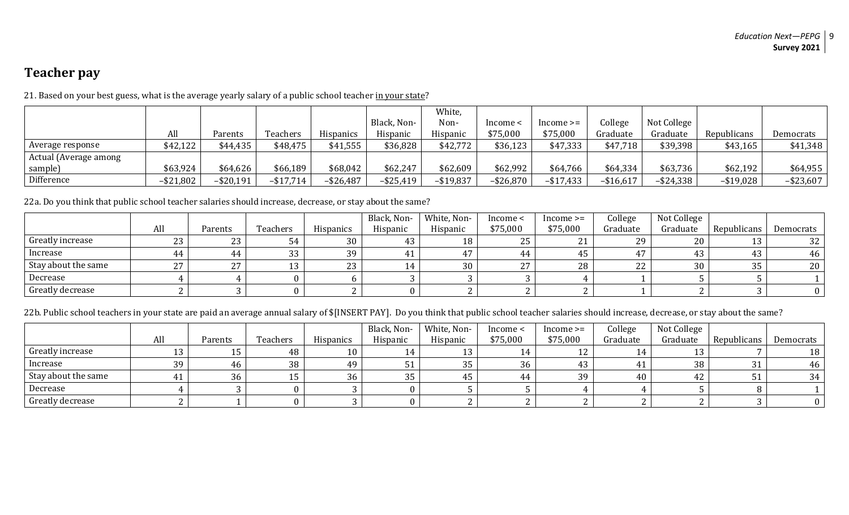# **Teacher pay**

|                       |              |              |              |              |              | White,       |              |                |            |              |              |              |
|-----------------------|--------------|--------------|--------------|--------------|--------------|--------------|--------------|----------------|------------|--------------|--------------|--------------|
|                       |              |              |              |              | Black, Non-  | Non-         | lncome ·     | $Income \geq=$ | College    | Not College  |              |              |
|                       | All          | Parents      | Teachers     | Hispanics    | Hispanic     | Hispanic     | \$75,000     | \$75,000       | Graduate   | Graduate     | Republicans  | Democrats    |
| Average response      | \$42,122     | \$44,435     | \$48,475     | \$41,555     | \$36,828     | \$42,772     | \$36,123     | \$47,333       | \$47,718   | \$39,398     | \$43,165     | \$41,348     |
| Actual (Average among |              |              |              |              |              |              |              |                |            |              |              |              |
| sample)               | \$63,924     | \$64,626     | \$66,189     | \$68,042     | \$62,247     | \$62,609     | \$62,992     | \$64,766       | \$64,334   | \$63,736     | \$62,192     | \$64,955     |
| Difference            | $-$ \$21,802 | $-$ \$20,191 | $-$ \$17,714 | $-$ \$26,487 | $-$ \$25,419 | $-$ \$19,837 | $-$ \$26,870 | $-$ \$17,433   | $-$16,617$ | $-$ \$24,338 | $-$ \$19,028 | $-$ \$23,607 |

21. Based on your best guess, what is the average yearly salary of a public school teacher in your state?

22a. Do you think that public school teacher salaries should increase, decrease, or stay about the same?

|                     |     |           |          |                  | Black, Non- | White, Non- | Income <       | $Income \geq$  | College  | Not College |             |                 |
|---------------------|-----|-----------|----------|------------------|-------------|-------------|----------------|----------------|----------|-------------|-------------|-----------------|
|                     | All | Parents   | Teachers | <b>Hispanics</b> | Hispanic    | Hispanic    | \$75,000       | \$75,000       | Graduate | Graduate    | Republicans | Democrats       |
| Greatly increase    | 23  | つつ<br>_ ب |          | 30               |             | 18          | <b>DE</b><br>້ | ີ<br><u> i</u> | 29       | 20          | 13          | 32 <sup>1</sup> |
| Increase            | 44  | 44        | 33       | 39               | 41          |             | 44             | 45             |          |             | 43          | 46              |
| Stay about the same | 27  |           |          | 23               | 14          | 30          | $\sim$ $\sim$  | 28             | 22       | 30          | 35          | 20 <sup>1</sup> |
| Decrease            |     |           |          |                  |             |             |                |                |          |             |             |                 |
| Greatly decrease    |     |           |          |                  |             |             |                |                |          |             |             |                 |

22b. Public school teachers in your state are paid an average annual salary of \$[INSERT PAY]. Do you think that public school teacher salaries should increase, decrease, or stay about the same?

|                     |     |         |          |                  | Black, Non- | White, Non- | Income < | $Income \geq$ | College  | Not College |             |           |
|---------------------|-----|---------|----------|------------------|-------------|-------------|----------|---------------|----------|-------------|-------------|-----------|
|                     | All | Parents | Teachers | <b>Hispanics</b> | Hispanic    | Hispanic    | \$75,000 | \$75,000      | Graduate | Graduate    | Republicans | Democrats |
| Greatly increase    |     |         | 48       | 10               | 14          |             |          | 12            | 14       |             |             | 18        |
| Increase            | 39  | 46      | 38       | 49               |             | 35          | 36       | 43            |          | 38          | 31          | 46        |
| Stay about the same |     | 36      |          | 36               | 35          | 45          |          | 39            | 40       |             | ັບ 1        | 34        |
| Decrease            |     |         |          |                  |             |             |          |               |          |             |             |           |
| Greatly decrease    |     |         |          |                  |             |             |          |               |          |             |             |           |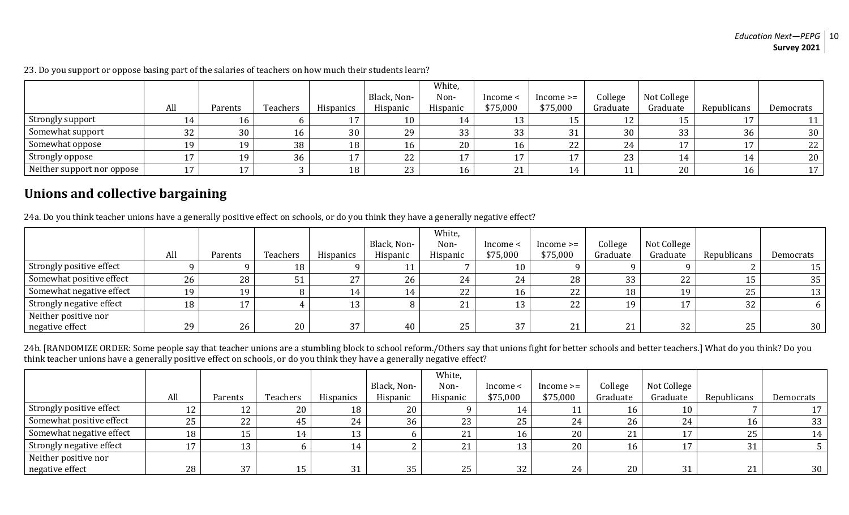|                            | All       | Parents | Teachers | <b>Hispanics</b> | Black, Non-<br>Hispanic | White,<br>Non-<br>Hispanic | Income <<br>\$75,000 | $Income \geq$<br>\$75,000 | College<br>Graduate | Not College<br>Graduate | Republicans     | Democrats |
|----------------------------|-----------|---------|----------|------------------|-------------------------|----------------------------|----------------------|---------------------------|---------------------|-------------------------|-----------------|-----------|
| Strongly support           |           | 16      |          |                  | 10                      | 14                         | 13                   |                           |                     |                         |                 |           |
| Somewhat support           | 32        | 30      | 16       | 30               | 29                      | 33                         | 33                   | 31                        | 30                  | 33                      | 36              | 30        |
| Somewhat oppose            | $10^{-7}$ | 19      | 38       | 18               | 16                      | 20                         | 16                   | 22                        | 24                  |                         |                 | 22        |
| Strongly oppose            |           | 19      | 36       |                  | 22                      | 17                         | 17                   |                           | 23                  |                         |                 | 20        |
| Neither support nor oppose |           | 17      |          | 18               | 23                      | 16                         | 21                   | 14                        |                     | 20                      | 16 <sup>1</sup> | 17        |

23. Do you support or oppose basing part of the salaries of teachers on how much their students learn?

### **Unions and collective bargaining**

24a. Do you think teacher unions have a generally positive effect on schools, or do you think they have a generally negative effect?

|                          |     |         |          |           |             | White,       |           |               |                |             |             |           |
|--------------------------|-----|---------|----------|-----------|-------------|--------------|-----------|---------------|----------------|-------------|-------------|-----------|
|                          |     |         |          |           | Black, Non- | Non-         | Income <  | $Income \geq$ | College        | Not College |             |           |
|                          | All | Parents | Teachers | Hispanics | Hispanic    | Hispanic     | \$75,000  | \$75,000      | Graduate       | Graduate    | Republicans | Democrats |
| Strongly positive effect |     |         | 18       |           |             |              | 10        |               |                |             |             | 15        |
| Somewhat positive effect | 26  | 28      | ປ⊥       | 27<br>ر ے | 26          | 24           | 24        | 28            | 33             | 22          | ⊥∪          | 35        |
| Somewhat negative effect | 1 Q | 19      |          |           |             | 22           | 16        | 22            | 18             | 19          | 25          | 13        |
| Strongly negative effect | 18  |         |          |           |             | $\mathbf{A}$ | 12<br>1 J | ാറ            | 1 <sub>Q</sub> |             | 32          |           |
| Neither positive nor     |     |         |          |           |             |              |           |               |                |             |             |           |
| negative effect          | 29  | 26      | 20       | 27        | 40          | 25           | 37        | 21            | 21             | 32          | 25          | 30        |

24b. [RANDOMIZE ORDER: Some people say that teacher unions are a stumbling block to school reform./Others say that unions fight for better schools and better teachers.] What do you think? Do you think teacher unions have a generally positive effect on schools, or do you think they have a generally negative effect?

|                          |     |           |                 |           |             | White,                |          |               |                    |             |                |           |
|--------------------------|-----|-----------|-----------------|-----------|-------------|-----------------------|----------|---------------|--------------------|-------------|----------------|-----------|
|                          |     |           |                 |           | Black, Non- | Non-                  | - Income | $Income \geq$ | College            | Not College |                |           |
|                          | All | Parents   | <b>Teachers</b> | Hispanics | Hispanic    | Hispanic              | \$75,000 | \$75,000      | Graduate           | Graduate    | Republicans    | Democrats |
| Strongly positive effect |     | 12<br>ᅩ   | 20              | 18        | 20          |                       | 14       |               | 16                 | 10          |                |           |
| Somewhat positive effect | 25  | 22        | 45              | 24        | 36          | 23                    | 25       | 24            | 26                 | 24          | 16             | 33        |
| Somewhat negative effect | 18  | 1 E<br>⊥J |                 |           |             | <b>n</b> <sub>1</sub> | 16       | 20            | 21<br>$\mathbf{L}$ | 17          | 25             | 14        |
| Strongly negative effect |     | 12<br>ᆚ   |                 |           |             | $\mathbf{a}$          | 13       | 20            | 16                 | 17          | 21             |           |
| Neither positive nor     |     |           |                 |           |             |                       |          |               |                    |             |                |           |
| negative effect          | 28  | 37        | ⊥ປ              | 31        | 35          | 25                    | 32       | 24            | 20                 | 31          | 21<br>$\sim$ 1 | 30        |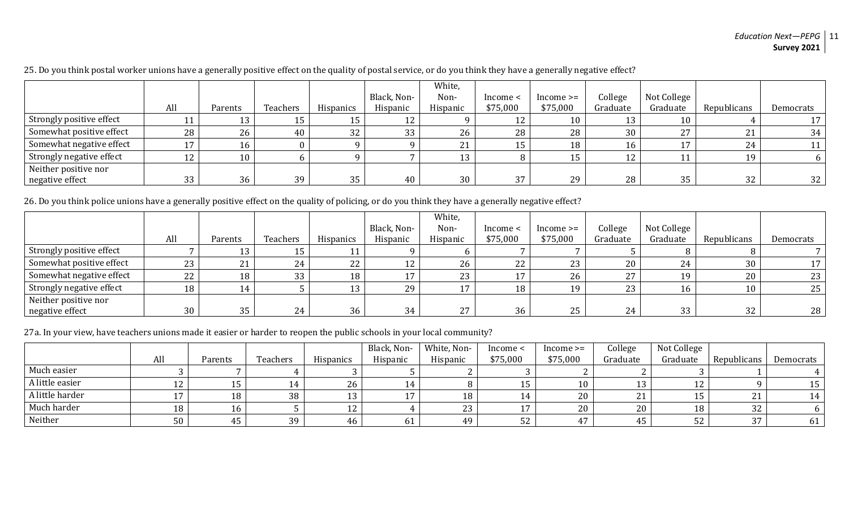#### *Education Next—PEPG* 11 **Survey 2021**

|                          |         |         |          |           | Black, Non- | White,<br>Non- | Income < | $Income \geq$ | College  | Not College                |                     |           |
|--------------------------|---------|---------|----------|-----------|-------------|----------------|----------|---------------|----------|----------------------------|---------------------|-----------|
|                          | All     | Parents | Teachers | Hispanics | Hispanic    | Hispanic       | \$75,000 | \$75,000      | Graduate | Graduate                   | Republicans         | Democrats |
| Strongly positive effect |         | 13      |          |           |             |                | 12       | 10            |          | 10                         |                     |           |
| Somewhat positive effect | 28      | 26      | 40       | 32        | 33          | 26             | 28       | 28            | 30       | 27<br>$\frac{2}{\sqrt{2}}$ | $\mathbf{A}$<br>᠘ ┚ | 34        |
| Somewhat negative effect |         | 16      |          |           |             |                | 15       | 18            | 16       |                            | 24                  |           |
| Strongly negative effect | 1.<br>ᅭ | 10      |          |           |             | 13             |          |               | 12       | 11                         | 19                  |           |
| Neither positive nor     |         |         |          |           |             |                |          |               |          |                            |                     |           |
| negative effect          | 33      | 36      | 39       | 35        | 40          | 30             | 37       | 29            | 28       | 35                         | 32                  | 32        |

25. Do you think postal worker unions have a generally positive effect on the quality of postal service, or do you think they have a generally negative effect?

26. Do you think police unions have a generally positive effect on the quality of policing, or do you think they have a generally negative effect?

|                          |     |         |          |                  |             | White,         |          |               |          |             |             |           |
|--------------------------|-----|---------|----------|------------------|-------------|----------------|----------|---------------|----------|-------------|-------------|-----------|
|                          |     |         |          |                  | Black, Non- | Non-           | Income < | $Income \geq$ | College  | Not College |             |           |
|                          | All | Parents | Teachers | <b>Hispanics</b> | Hispanic    | Hispanic       | \$75,000 | \$75,000      | Graduate | Graduate    | Republicans | Democrats |
| Strongly positive effect |     | ιJ      |          |                  |             |                |          |               |          |             |             |           |
| Somewhat positive effect | 23  | 21      | 24       | 22               | 12          | 26             | 22       | 23            | 20       | 24          | 30          | 17        |
| Somewhat negative effect | 22  | 18      | 33       | 18               | 17          | 23             | 17       | 26            | 27       | 19.         | 20          | 23        |
| Strongly negative effect | 18  | 14      |          |                  | 29          | $\overline{ }$ | 18       | 19            | 23       | 16          | 10          | 25        |
| Neither positive nor     |     |         |          |                  |             |                |          |               |          |             |             |           |
| negative effect          | 30  | 35      | 24       | 36               | 34          | 27             | 36       | 25            | 24       | 33          | 32          | 28        |

27a. In your view, have teachers unions made it easier or harder to reopen the public schools in your local community?

|                 |                  |         |          |                  | Black, Non- | White, Non- | Income <  | $Income \geq$ | College  | Not College    |                     |           |
|-----------------|------------------|---------|----------|------------------|-------------|-------------|-----------|---------------|----------|----------------|---------------------|-----------|
|                 | All              | Parents | Teachers | <b>Hispanics</b> | Hispanic    | Hispanic    | \$75,000  | \$75,000      | Graduate | Graduate       | Republicans         | Democrats |
| Much easier     |                  |         |          |                  |             |             |           |               |          |                |                     |           |
| A little easier | $1^{\circ}$<br>ᅩ |         |          | 26               | ، 14        |             |           | 10            |          | $\overline{A}$ |                     |           |
| A little harder | 1 I I            | 18      | 38       | $\sim$           | 17          | 18          |           | 20            | 21       |                | $^{\circ}$          | 14        |
| Much harder     | 18               | 10.     |          | 1 O<br>ᅩ         |             | າາ          |           | 20            | 20       | 18             | 32                  |           |
| Neither         | 50               | 45.     | 39       | 46               | 61          | 49          | Γη<br>ے ت | 47            | 45       | 52             | $\mathbf{z}$<br>ັບເ |           |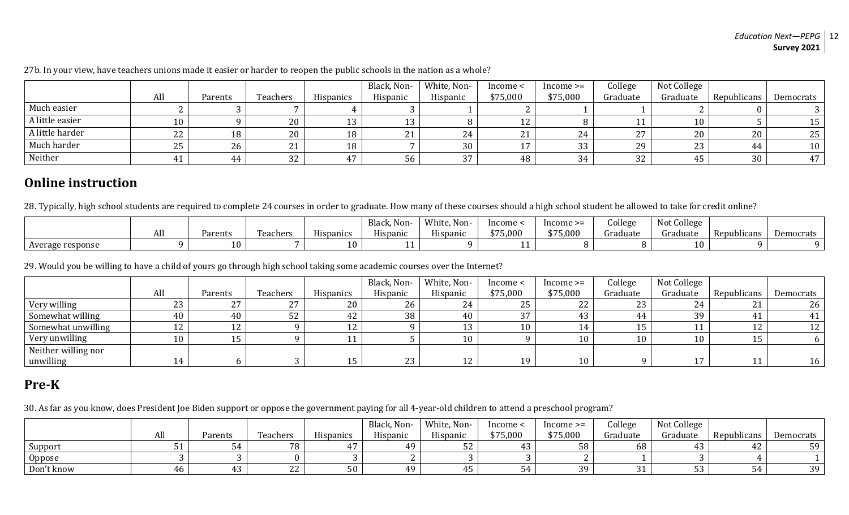#### *Education Next—PEPG* 12 **Survey 2021**

|                 |     |         |          |                     | Black, Non- | White, Non- | Income <                   | ncome >= | College  | Not College |             |                 |
|-----------------|-----|---------|----------|---------------------|-------------|-------------|----------------------------|----------|----------|-------------|-------------|-----------------|
|                 | All | Parents | Teachers | <b>Hispanics</b>    | Hispanic    | Hispanic    | \$75,000                   | \$75,000 | Graduate | Graduate    | Republicans | Democrats       |
| Much easier     |     |         |          |                     |             |             |                            |          |          |             |             |                 |
| A little easier | 10  |         | 20       | $\overline{1}$<br>ᅩ |             |             | ∸∸                         |          |          |             |             | 15              |
| A little harder | 22  | 18      | 20       | 18                  |             | 24          | $\mathbf{D}$<br><u>_ i</u> | 24       | つワ       | 20          | 20          | 25 <sub>1</sub> |
| Much harder     | 25  | 26      | 21       | 18                  |             | 30          |                            | 33       | 29       | ົດຕ         | 44          | 10              |
| Neither         | ᅟᅩ  | 44      | 32       | $\overline{A}$      | 56          | 27          | 48                         | 34       | 32       |             | 30          | 47              |

27b. In your view, have teachers unions made it easier or harder to reopen the public schools in the nation as a whole?

### **Online instruction**

28. Typically, high school students are required to complete 24 courses in order to graduate. How many of these courses should a high school student be allowed to take for credit online?

|                  |     |          |          |                         | Non-<br>Black | White,<br>, Non-       | Income   | $Income \geq$       | College  | Not College |                           |           |
|------------------|-----|----------|----------|-------------------------|---------------|------------------------|----------|---------------------|----------|-------------|---------------------------|-----------|
|                  | All | Parents  | Teachers | <b>TT:</b><br>Hispanics | Hispanic      | <b>TT:</b><br>Hispanic | \$75,000 | $A = F$<br>\$75,000 | Graduate | draduate    | . .<br><b>Republicans</b> | Democrats |
| Average response |     | $\theta$ |          | 10                      |               |                        |          |                     |          | 10          |                           |           |

29. Would you be willing to have a child of yours go through high school taking some academic courses over the Internet?

|                     |                  |               |               |                  | Black, Non- | White, Non-     | Income < | $Income \geq=$ | College    | Not College     |             |           |
|---------------------|------------------|---------------|---------------|------------------|-------------|-----------------|----------|----------------|------------|-----------------|-------------|-----------|
|                     | All              | Parents       | Teachers      | <b>Hispanics</b> | Hispanic    | Hispanic        | \$75,000 | \$75,000       | Graduate   | Graduate        | Republicans | Democrats |
| Very willing        | 23               | $\mathcal{L}$ | $\mathcal{L}$ | 20               | 26          | Z4              | 25       | 22             | າາ<br>ں ہے | 24              | <u>_ i</u>  | 26        |
| Somewhat willing    | 40               | 40            | പ്ര<br>ЭZ     | 42               | 38          | 40              | $\Omega$ | 43             | 44         | 39              |             | 41        |
| Somewhat unwilling  | 12               | ┸ <del></del> |               | $\sim$<br>ᆠ      |             |                 | 1 በ      | 14             | 15         |                 | ∸∸          |           |
| Very unwilling      | 10               |               |               |                  |             | 10 <sup>1</sup> |          | 10             | 10         | 10 <sup>1</sup> | ᆂu          |           |
| Neither willing nor |                  |               |               |                  |             |                 |          |                |            |                 |             |           |
| unwilling           | ه ۱<br><b>TT</b> |               |               |                  | 23          | ┸ <del></del>   | 1 ဂ      | 10             |            |                 | . .         | 16        |

# **Pre-K**

30. As far as you know, does President Joe Biden support or oppose the government paying for all 4-year-old children to attend a preschool program?

|            |     |         |                |                  | Black, Non- | White, Non- | Income <                 | $Income \geq$  | College  | Not College |                  |           |
|------------|-----|---------|----------------|------------------|-------------|-------------|--------------------------|----------------|----------|-------------|------------------|-----------|
|            | All | Parents | Teachers       | <b>Hispanics</b> | Hispanic    | Hispanic    | \$75,000                 | \$75,000       | Graduate | Graduate    | Republicans      | Democrats |
| Support    |     |         | 78             | $\overline{ }$   | 1.Q         | ັ້          | $\sqrt{2}$               | 58             | 68       |             | $\sqrt{2}$<br>44 | 59        |
| Oppose     |     |         |                |                  |             |             |                          |                |          |             |                  |           |
| Don't know | 46  |         | $\Omega$<br>LL | 50               | $A.\Omega$  | . .         | $\overline{\phantom{a}}$ | 30<br><u>J</u> | ັບ       |             | ັ                | 39        |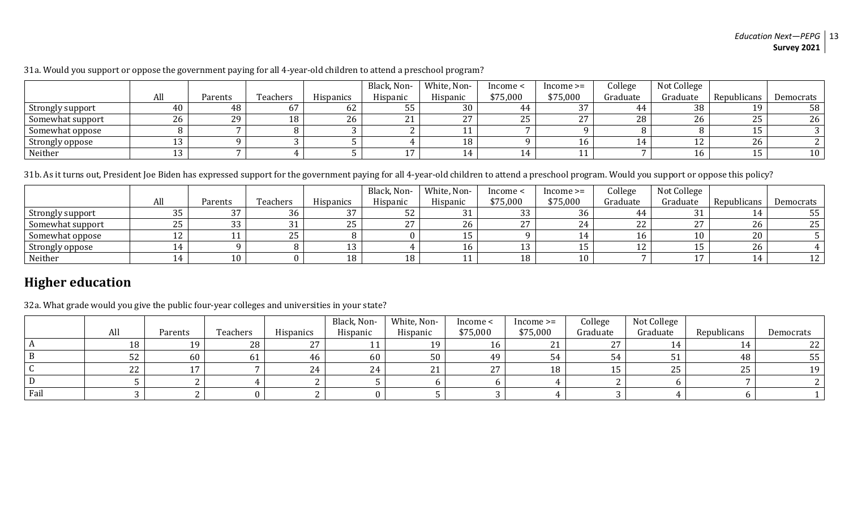#### *Education Next—PEPG* 13 **Survey 2021**

| 31a. Would you support or oppose the government paying for all 4-year-old children to attend a preschool program? |  |  |
|-------------------------------------------------------------------------------------------------------------------|--|--|
|-------------------------------------------------------------------------------------------------------------------|--|--|

|                  |     |         |                       |                  | Black, Non- | White, Non-  | Income <   | $Income \geq=$ | College  | Not College |             |           |
|------------------|-----|---------|-----------------------|------------------|-------------|--------------|------------|----------------|----------|-------------|-------------|-----------|
|                  | All | Parents | Teachers              | <b>Hispanics</b> | Hispanic    | Hispanic     | \$75,000   | \$75,000       | Graduate | Graduate    | Republicans | Democrats |
| Strongly support | 40  | 48      | $\mathfrak{v}_\prime$ | 62               | 55.         | 30           |            | 27             | 44.      | 38          | 1 Q         | 58        |
| Somewhat support | 26  | 29      | 18                    | 26               | 21          | $\mathbf{z}$ | n r<br>ں ے | 27             | 28       | 26          | つに<br>ΔJ    | 26        |
| Somewhat oppose  |     |         |                       |                  |             |              |            |                |          |             | ᅩ           |           |
| Strongly oppose  | 13  |         |                       |                  |             |              |            | 16             |          | $\perp$     | 26          |           |
| Neither          | ᆚ   |         |                       |                  | די          |              |            |                |          | ⊥b.         | <b>. .</b>  | $10 \,$   |

31b. As it turns out, President Joe Biden has expressed support for the government paying for all 4-year-old children to attend a preschool program. Would you support or oppose this policy?

|                  |          |         |              |           | Black, Non- | White, Non- | Income <     | $Income \geq$  | College  | Not College |             |           |
|------------------|----------|---------|--------------|-----------|-------------|-------------|--------------|----------------|----------|-------------|-------------|-----------|
|                  | All      | Parents | Teachers     | Hispanics | Hispanic    | Hispanic    | \$75,000     | \$75,000       | Graduate | Graduate    | Republicans | Democrats |
| Strongly support | 35       |         | 36           | ר ר<br>31 | ⊃∠          |             | ົດຕ<br>33    | 36             | 44       | 21<br>ل ل   | <b>I</b>    | 55        |
| Somewhat support | 25       | 33      | $\mathbf{A}$ | 25        | วร          | 26          | $\mathbf{z}$ | 24             | 22       | חר          | 26          | 25        |
| Somewhat oppose  | 1 າ<br>ᅭ |         | つに<br>ں ے    |           |             |             |              | 14<br><u>д</u> |          | 1 () -      | 20          |           |
| Strongly oppose  |          |         |              |           |             |             |              | ᆚ              |          |             | 26          |           |
| Neither          |          | 10      |              | 18        | 18          |             | 1 O<br>ΙO    | 10             |          |             | <b>.</b>    |           |

# **Higher education**

32a. What grade would you give the public four-year colleges and universities in your state?

|      |     |         |          |               | Black, Non-           | White, Non- | Income < | $Income \geq=$ | College  | Not College     |               |           |
|------|-----|---------|----------|---------------|-----------------------|-------------|----------|----------------|----------|-----------------|---------------|-----------|
|      | All | Parents | Teachers | Hispanics     | Hispanic              | Hispanic    | \$75,000 | \$75,000       | Graduate | Graduate        | Republicans   | Democrats |
|      | 18  |         | 28       | $\mathcal{L}$ | $-1$ $-1$             | 19          | 16       |                | 27       |                 | $^{\prime}$ 4 | າາ        |
|      | 52  | 60      | 61       | 46            | 60                    | 50          | 49       | 54             |          | ັບ⊥             | 48            | 55        |
|      | 22  |         |          | 24            | $\Omega$<br><b>44</b> | 21          | 27       | 18             |          | $\Omega$<br>-45 | 25            | 1 Q       |
|      |     |         |          |               |                       |             |          |                |          |                 |               |           |
| Fail |     |         |          |               |                       |             |          |                |          |                 |               |           |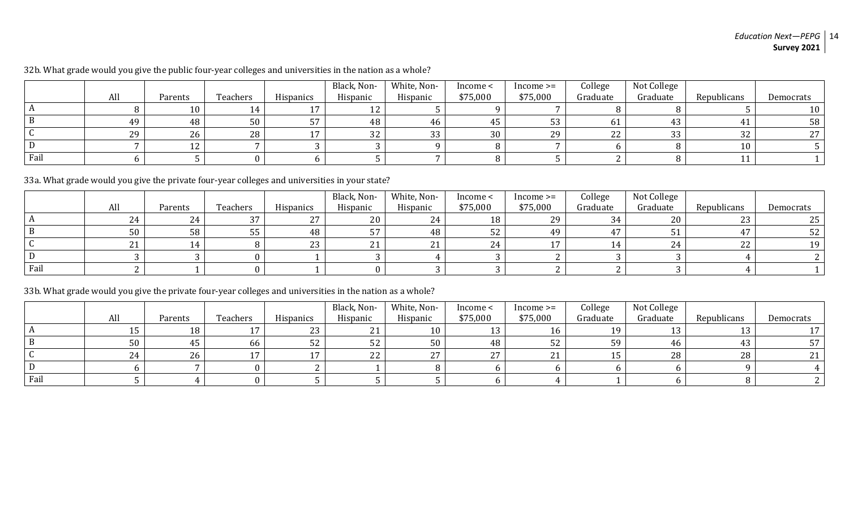|      |     |          |          |                | Black, Non- | White, Non- | Income < | $Income \geq$ | College  | Not College |             |           |
|------|-----|----------|----------|----------------|-------------|-------------|----------|---------------|----------|-------------|-------------|-----------|
|      | All | Parents  | Teachers | Hispanics      | Hispanic    | Hispanic    | \$75,000 | \$75,000      | Graduate | Graduate    | Republicans | Democrats |
|      |     | 10       |          | $\overline{ }$ |             |             |          |               |          |             |             |           |
|      | 49  | 48       | 50       | 57             | 48          | 46          | 45       | 53            | 61       |             |             | 58        |
|      | 29  | 26       | 28       | 1 m            | ົດຕ<br>34   | 33          | 30       | 29            | つつ<br>▵▵ | 22<br>ാാ    | 32          | ר ר       |
| ∣D   |     | 1 า<br>ᄕ |          |                |             |             |          |               |          |             | 10          |           |
| Fail |     |          |          |                |             |             |          |               |          |             |             |           |

32b. What grade would you give the public four-year colleges and universities in the nation as a whole?

33a. What grade would you give the private four-year colleges and universities in your state?

|      |                  |         |          |                  | Black, Non-  | White, Non- | Income < | $Income \geq$ | College  | Not College  |             |           |
|------|------------------|---------|----------|------------------|--------------|-------------|----------|---------------|----------|--------------|-------------|-----------|
|      | All              | Parents | Teachers | <b>Hispanics</b> | Hispanic     | Hispanic    | \$75,000 | \$75,000      | Graduate | Graduate     | Republicans | Democrats |
|      | 24               |         | $\sim$   | 27               | 20           | 24          | 18       | 29            | 34       | 20           | 23          |           |
|      | 50               | 58      | υJ       | 48               | F7           | 48          | 52       | 49            | 4.7      |              | 47          | 54        |
|      | 21<br><u> 41</u> |         |          | 23               | $\mathbf{A}$ | 21          |          |               |          | $\sim$<br>-4 | 22          | 1 Q       |
|      |                  |         |          |                  |              |             |          |               |          |              |             |           |
| Fail |                  |         |          |                  |              |             |          |               |          |              |             |           |

33b. What grade would you give the private four-year colleges and universities in the nation as a whole?

|      |     |         |          |           | Black, Non-     | White, Non- | Income < | $Income \geq=$ | College  | Not College |             |           |
|------|-----|---------|----------|-----------|-----------------|-------------|----------|----------------|----------|-------------|-------------|-----------|
|      | All | Parents | Teachers | Hispanics | Hispanic        | Hispanic    | \$75,000 | \$75,000       | Graduate | Graduate    | Republicans | Democrats |
|      | ∸   | 18      |          | 23        | 21<br><u> 4</u> | 10          |          | 16             | 10.      |             | 12.<br>⊥∪   |           |
| - В  | 50  | 45      | 66       | 52        | 52              | 50          | 48       | 52             | 59       | 46          | 43          |           |
|      | 24  | 26      |          |           | ົດຕ<br>LL       | 27          | 27       |                |          | 28          | 28          |           |
| D    |     |         |          |           |                 |             |          |                |          |             |             |           |
| Fail |     |         |          |           |                 |             |          |                |          |             |             |           |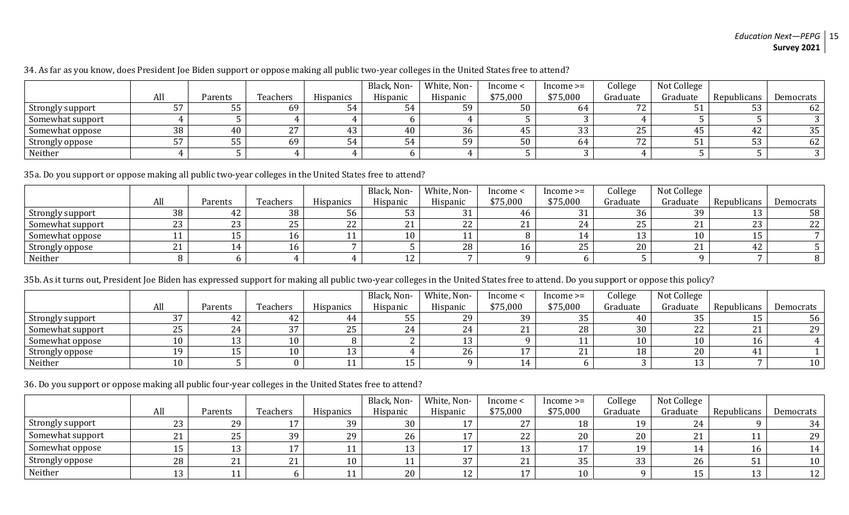#### *Education Next—PEPG* 15 **Survey 2021**

34. As far as you know, does President Joe Biden support or oppose making all public two-year colleges in the United States free to attend?

|                  |     |         |              |                  | Black, Non- | White, Non- | Income < | $Income \geq$ | College                           | Not College |             |           |
|------------------|-----|---------|--------------|------------------|-------------|-------------|----------|---------------|-----------------------------------|-------------|-------------|-----------|
|                  | All | Parents | Teachers     | <b>Hispanics</b> | Hispanic    | Hispanic    | \$75,000 | \$75,000      | Graduate                          | Graduate    | Republicans | Democrats |
| Strongly support | 57  | 55      | 69           | 54               |             | ٢O          | 50       | 64            | 72<br>⊂⁄                          |             | ບບ          | 62        |
| Somewhat support |     |         |              |                  |             |             |          |               |                                   |             |             |           |
| Somewhat oppose  | 38  | 40      | $\mathbf{z}$ | 43               | 40          | 36          |          | 33            | 25                                |             | 44          | 35        |
| Strongly oppose  | 57  |         | 69           | 54               |             | ٢O          | 50       | 64            | $\mathbf{a}$<br>$\prime$ $\prime$ |             | 53          | 62        |
| Neither          |     |         |              |                  |             |             |          |               |                                   |             |             |           |

35a. Do you support or oppose making all public two-year colleges in the United States free to attend?

|                  |     |           |           |                  | Black, Non- | White, Non- | Income < | $Income \geq$ | College  | Not College |             |           |
|------------------|-----|-----------|-----------|------------------|-------------|-------------|----------|---------------|----------|-------------|-------------|-----------|
|                  | All | Parents   | Teachers  | <b>Hispanics</b> | Hispanic    | Hispanic    | \$75,000 | \$75,000      | Graduate | Graduate    | Republicans | Democrats |
| Strongly support | 38  | 44        | 38        | 56               | 53          |             | 46       | 31            | 36       | 39          | ᅩ           | 58        |
| Somewhat support | 23  | ົ<br>ں ہے | つに<br>ں ک | 22               | 21          | nn          |          | 24            | 25       |             | nn<br>ں ے   | 22        |
| Somewhat oppose  |     |           |           |                  | 10          |             |          |               |          | 10          | ᆂu          |           |
| Strongly oppose  | 21  |           |           |                  |             | 28          |          | 25            | 20       |             | 44          |           |
| Neither          |     |           |           |                  | 1 າ<br>ᅩ    |             |          |               |          |             |             |           |

35b. As it turns out, President Joe Biden has expressed support for making all public two-year colleges in the United States free to attend. Do you support or oppose this policy?

|                  |     |         |          |                  | Black, Non- | White, Non- | Income < | $Income \geq$ | College  | Not College |             |                 |
|------------------|-----|---------|----------|------------------|-------------|-------------|----------|---------------|----------|-------------|-------------|-----------------|
|                  | All | Parents | Teachers | <b>Hispanics</b> | Hispanic    | Hispanic    | \$75,000 | \$75,000      | Graduate | Graduate    | Republicans | Democrats       |
| Strongly support | 37  | 44.     | 42       |                  | 55          | 29          | 39       | 35            | 40       | ≘           | ᅩ           | 56 <sup>1</sup> |
| Somewhat support | 25  | 24      | חר       | 25               | 24          | 24          | - -      | 28            | 30       | ົ<br>ZZ     | 21          | 29              |
| Somewhat oppose  | 10  |         | 10       |                  |             |             |          |               |          | 10          | 16          |                 |
| Strongly oppose  | 19  |         | 10       | 12<br>⊥∪         |             | 26          |          |               | 18       | 20          |             |                 |
| Neither          | 10  |         |          |                  | 15          |             |          |               |          |             |             | 10 <sub>1</sub> |

36. Do you support or oppose making all public four-year colleges in the United States free to attend?

|                  |     |         |          |                  | Black, Non- | White, Non- | Income <               | $Income \geq$ | College  | Not College |             |           |
|------------------|-----|---------|----------|------------------|-------------|-------------|------------------------|---------------|----------|-------------|-------------|-----------|
|                  | All | Parents | Teachers | <b>Hispanics</b> | Hispanic    | Hispanic    | \$75,000               | \$75,000      | Graduate | Graduate    | Republicans | Democrats |
| Strongly support | 23  | 29      |          | 39               | 30          |             | $\Omega$<br><u>.</u>   | 18            | 19       | 24          |             | 34        |
| Somewhat support | 21  | 25      | 39       | 29               | 26          |             | 22                     | 20            | 20       |             |             | 29        |
| Somewhat oppose  | 15  |         |          |                  | 12          |             |                        |               | 1 Q      |             |             | 14        |
| Strongly oppose  | 28  |         | 21       | 10               |             | つワ          | $^{\circ}$<br><u>_</u> | 35            | २२<br>ບບ | 26          | ັບ          | 10        |
| Neither          | 13  |         |          |                  | 20          | $\perp$     |                        | 10            |          |             | $\sim$      |           |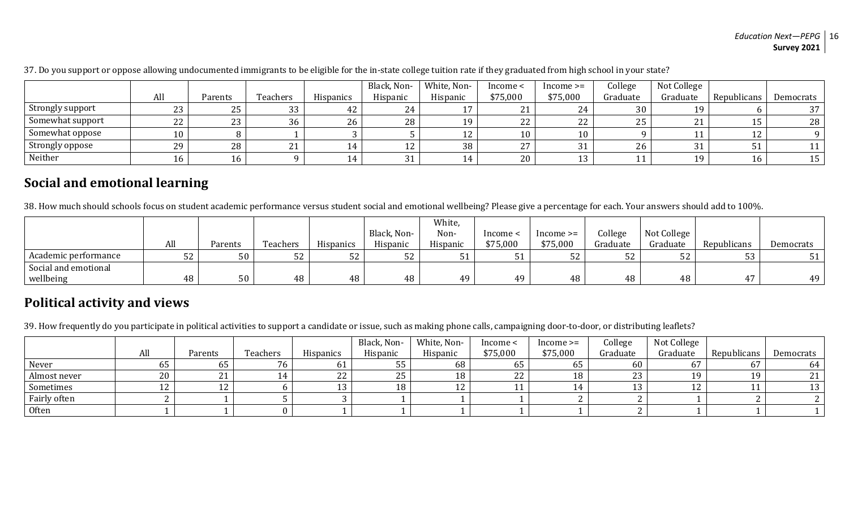#### *Education Next—PEPG* 16 **Survey 2021**

|                  |     |             |          |                  | Black, Non- | White, Non- | Income <                    | $Income \geq$ | College  | Not College |             |           |
|------------------|-----|-------------|----------|------------------|-------------|-------------|-----------------------------|---------------|----------|-------------|-------------|-----------|
|                  | All | Parents     | Teachers | <b>Hispanics</b> | Hispanic    | Hispanic    | \$75,000                    | \$75,000      | Graduate | Graduate    | Republicans | Democrats |
| Strongly support | 23  | 25          | 33       | 42               |             |             | $^{\circ}$<br>4             | 24            | 30       |             |             | 37        |
| Somewhat support | 22  | ົາາ<br>ں ہے | 36       | 26               | 28          | 19          | $\Omega$<br>22 <sup>2</sup> | 22            | 25       |             | ᆂᇦ          | 28        |
| Somewhat oppose  | 10  |             |          |                  |             |             | 10                          | 10            |          |             | 12<br>ᅩᄼ    |           |
| Strongly oppose  | 29  | 28          | 21       |                  | $\pm$ 4     | 38          | $\sim$ $\sim$<br><u> 4</u>  | 31            | 26       |             | 51          |           |
| Neither          | 16  | 16          |          | <b>.</b>         |             | 14          | 20                          | 13            | ┸┸       |             | 10          | 15        |

37. Do you support or oppose allowing undocumented immigrants to be eligible for the in-state college tuition rate if they graduated from high school in your state?

## **Social and emotional learning**

38. How much should schools focus on student academic performance versus student social and emotional wellbeing? Please give a percentage for each. Your answers should add to 100%.

|                      |                |         |          |                  |             | White,   |          |               |          |             |             |           |
|----------------------|----------------|---------|----------|------------------|-------------|----------|----------|---------------|----------|-------------|-------------|-----------|
|                      |                |         |          |                  | Black, Non- | Non-     | Income < | $Income \geq$ | College  | Not College |             |           |
|                      | All            | Parents | Teachers | <b>Hispanics</b> | Hispanic    | Hispanic | \$75,000 | \$75,000      | Graduate | Graduate    | Republicans | Democrats |
| Academic performance | $ \sim$<br>ے ت | 50      | Γη<br>52 | r o<br>ے ت       | 52          |          | JI       | ٣n<br>54      | ے ت      | 52          | ັບ          |           |
| Social and emotional |                |         |          |                  |             |          |          |               |          |             |             |           |
| wellbeing            | 48             | 50      | 48       | 48               | 48          | 4.Q      | 49       | 48            | 48       | 48          |             | 49        |

## **Political activity and views**

39. How frequently do you participate in political activities to support a candidate or issue, such as making phone calls, campaigning door-to-door, or distributing leaflets?

|              |     |         |          |                  | Black, Non- | White, Non- | Income < | $Income \geq$ | College    | Not College |             |           |
|--------------|-----|---------|----------|------------------|-------------|-------------|----------|---------------|------------|-------------|-------------|-----------|
|              | All | Parents | Teachers | <b>Hispanics</b> | Hispanic    | Hispanic    | \$75,000 | \$75,000      | Graduate   | Graduate    | Republicans | Democrats |
| Never        | υэ  | 65      | 76       | UΙ               | ээ          | 68          | ხჂ       | ხჂ            | 60         |             | 67          | -64       |
| Almost never | 20  | ▵▴      |          | 44               | ח ר<br>25   | 18          | 22       |               | nn<br>ں ہے |             | 19          |           |
| Sometimes    |     | ∸       |          |                  | 18          | ᅩ           |          |               |            |             |             |           |
| Fairly often |     |         |          |                  |             |             |          |               |            |             |             |           |
| Often        |     |         |          |                  |             |             |          |               |            |             |             |           |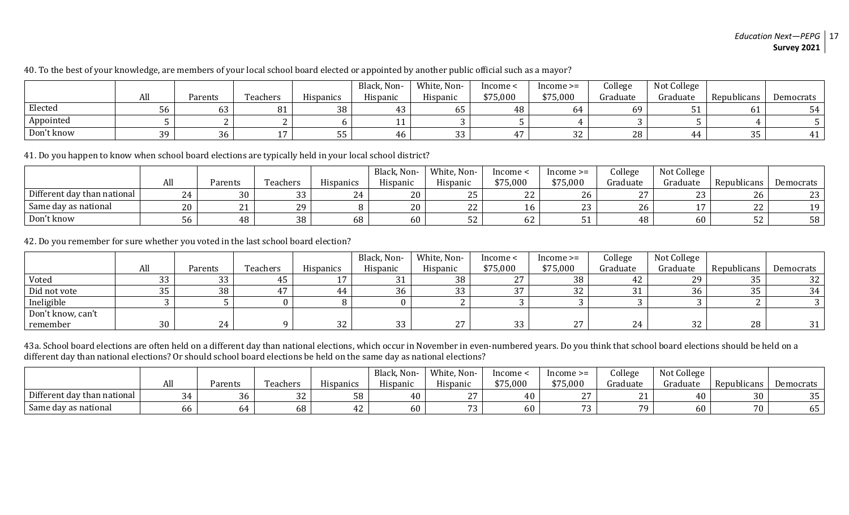#### 40. To the best of your knowledge, are members of your local school board elected or appointed by another public official such as a mayor?

|            |     |         |                |           | Black, Non- | White, Non- | Income < | $Income \geq=$ | College  | Not College |             |           |
|------------|-----|---------|----------------|-----------|-------------|-------------|----------|----------------|----------|-------------|-------------|-----------|
|            | All | Parents | Teachers       | Hispanics | Hispanic    | Hispanic    | \$75,000 | \$75,000       | Graduate | Graduate    | Republicans | Democrats |
| Elected    | 56. | b3      | O 1            | 38        | ּ״<br>45.   | ხა          | 48       | 64             | 69       |             |             |           |
| Appointed  |     |         |                |           |             |             |          |                |          |             |             |           |
| Don't know | 3d  | 36      | $\overline{ }$ | ככ        | 46          | 33          | 47       | 32             | 28       |             | 35          |           |

41. Do you happen to know when school board elections are typically held in your local school district?

|                             |        |                     |           |           | Black, Non- | White, Non-     | Income <          | $Income \geq=$ | College  | Not College      |                     |           |
|-----------------------------|--------|---------------------|-----------|-----------|-------------|-----------------|-------------------|----------------|----------|------------------|---------------------|-----------|
|                             | All    | <sup>9</sup> arents | l'eachers | Hispanics | Hispanic    | Hispanic        | \$75,000          | \$75,000       | Graduate | Graduate         | Republicans         | Democrats |
| Different day than national | $\sim$ | 30                  | ົ<br>ັບ   |           | 20          | ں ہے            | ົາາ<br><u>_ _</u> | 26             |          | $\Omega$<br>ں بے | 26                  | 23        |
| Same day as national        | 20     | 41                  | າດ        |           | 20          | n n<br><u>_</u> |                   | $\sim$<br>ں ے  |          |                  | nn<br><u>_ _</u>    | 1 Q       |
| Don't know                  | 56.    | 48                  | 38        | 68        | 60          | ັບ              | $\sim$<br>6Z      | ັບ             | 48       | 60               | $\sim$ $\sim$<br>ЭZ | 58        |

42. Do you remember for sure whether you voted in the last school board election?

|                   |          |         |          |                  | Black, Non- | White, Non-          | Income < | ncome >=            | College  | Not College |             |           |
|-------------------|----------|---------|----------|------------------|-------------|----------------------|----------|---------------------|----------|-------------|-------------|-----------|
|                   | All      | Parents | Teachers | <b>Hispanics</b> | Hispanic    | Hispanic             | \$75,000 | \$75,000            | Graduate | Graduate    | Republicans | Democrats |
| Voted             | າາ<br>ບບ | 33      | 45       |                  | 21          | 38                   | 27       | 38                  |          | 29          | 35          | 32        |
| Did not vote      | 35       | 38      |          |                  | 36          | ົາ<br>ົບປ            | 37       | 32                  |          | 36          | 35          | 34        |
| Ineligible        |          |         |          |                  |             |                      |          |                     |          |             |             |           |
| Don't know, can't |          |         |          |                  |             |                      |          |                     |          |             |             |           |
| remember          | 30       | 24      |          | 32               | 33          | $\sim$ $\sim$<br>ـ ـ | 33       | $\mathbf{z}$<br>ـ ـ | 24       | $\sim$      | 28          | 51        |

43a. School board elections are often held on a different day than national elections, which occur in November in even-numbered years. Do you think that school board elections should be held on a different day than national elections? Or should school board elections be held on the same day as national elections?

|                             |    |                     |           |           | Black, Non- | White, Non- | lncome · | $Income \geq=$ | College  | Not College |             |                     |
|-----------------------------|----|---------------------|-----------|-----------|-------------|-------------|----------|----------------|----------|-------------|-------------|---------------------|
|                             | гм | <sup>9</sup> arents | Teachers  | Hispanics | Hispanic    | Hispanic    | \$75,000 | \$75,000       | Graduate | Graduate    | Republicans | Democrats           |
| Different day than national |    | 36                  | ົາາ<br>34 | 58        | 40          | $\sim$ $-$  | 40       | $\sim$ $\sim$  |          | 40          | 30          | $\sim$ $\sim$<br>ັບ |
| Same day as national        |    | n4                  | 68        | 44        | 60          |             | 60       | $\sim$ $\sim$  |          | 60          | 70          | ხჂ                  |